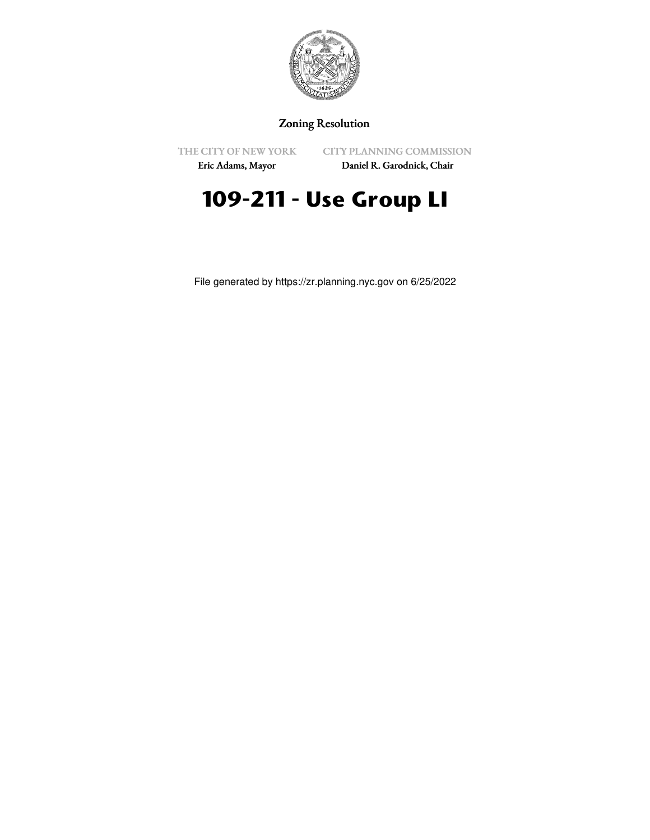

## Zoning Resolution

THE CITY OF NEW YORK

CITY PLANNING COMMISSION

Eric Adams, Mayor

Daniel R. Garodnick, Chair

## **109-211 - Use Group LI**

File generated by https://zr.planning.nyc.gov on 6/25/2022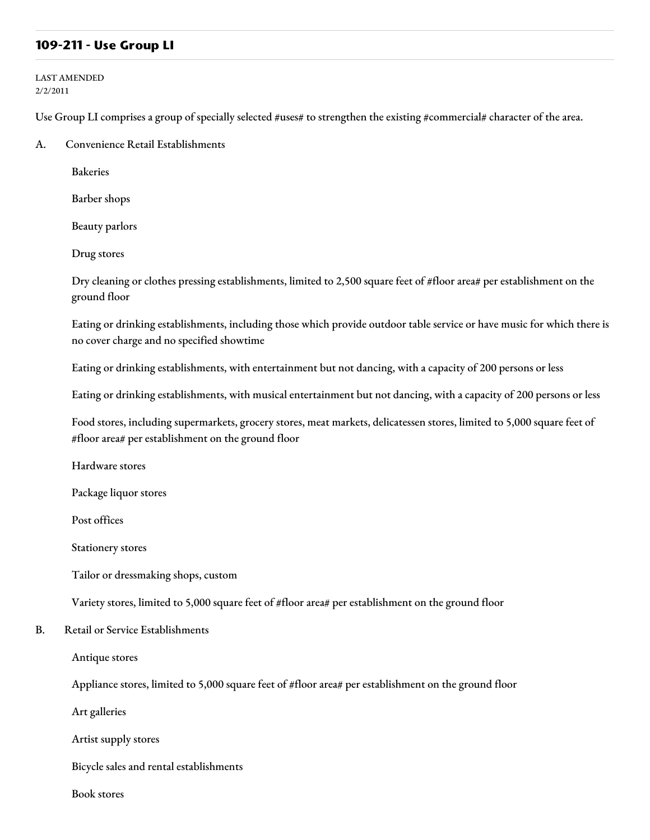## **109-211 - Use Group LI**

LAST AMENDED 2/2/2011

Use Group LI comprises a group of specially selected #uses# to strengthen the existing #commercial# character of the area.

A. Convenience Retail Establishments

Bakeries

Barber shops

Beauty parlors

Drug stores

Dry cleaning or clothes pressing establishments, limited to 2,500 square feet of #floor area# per establishment on the ground floor

Eating or drinking establishments, including those which provide outdoor table service or have music for which there is no cover charge and no specified showtime

Eating or drinking establishments, with entertainment but not dancing, with a capacity of 200 persons or less

Eating or drinking establishments, with musical entertainment but not dancing, with a capacity of 200 persons or less

Food stores, including supermarkets, grocery stores, meat markets, delicatessen stores, limited to 5,000 square feet of #floor area# per establishment on the ground floor

Hardware stores

Package liquor stores

Post offices

Stationery stores

Tailor or dressmaking shops, custom

Variety stores, limited to 5,000 square feet of #floor area# per establishment on the ground floor

B. Retail or Service Establishments

Antique stores

Appliance stores, limited to 5,000 square feet of #floor area# per establishment on the ground floor

Art galleries

Artist supply stores

Bicycle sales and rental establishments

Book stores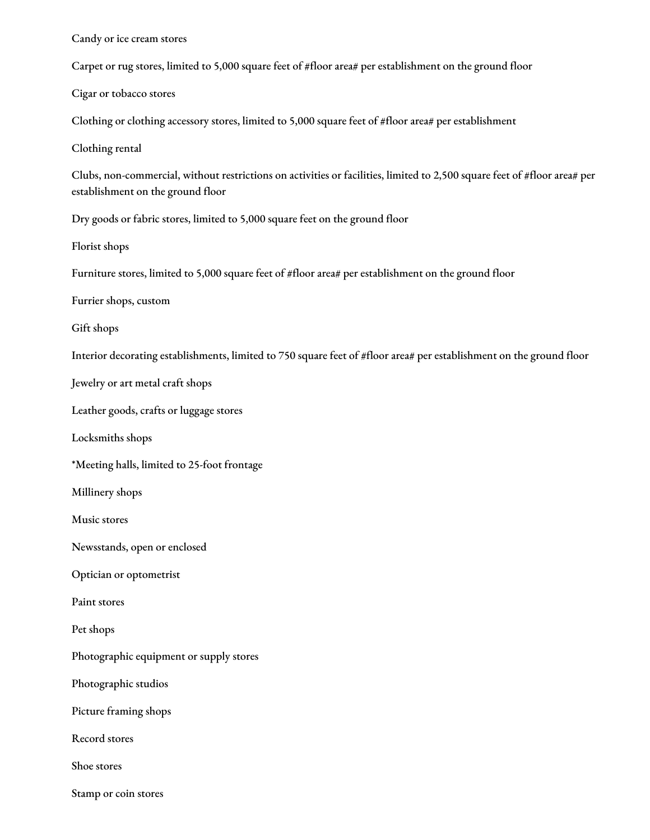Candy or ice cream stores

Carpet or rug stores, limited to 5,000 square feet of #floor area# per establishment on the ground floor

Cigar or tobacco stores

Clothing or clothing accessory stores, limited to 5,000 square feet of #floor area# per establishment

Clothing rental

Clubs, non-commercial, without restrictions on activities or facilities, limited to 2,500 square feet of #floor area# per establishment on the ground floor

Dry goods or fabric stores, limited to 5,000 square feet on the ground floor

Florist shops

Furniture stores, limited to 5,000 square feet of #floor area# per establishment on the ground floor

Furrier shops, custom

Gift shops

Interior decorating establishments, limited to 750 square feet of #floor area# per establishment on the ground floor

Jewelry or art metal craft shops

Leather goods, crafts or luggage stores

Locksmiths shops

\*Meeting halls, limited to 25-foot frontage

Millinery shops

Music stores

Newsstands, open or enclosed

Optician or optometrist

Paint stores

Pet shops

Photographic equipment or supply stores

Photographic studios

Picture framing shops

Record stores

Shoe stores

Stamp or coin stores